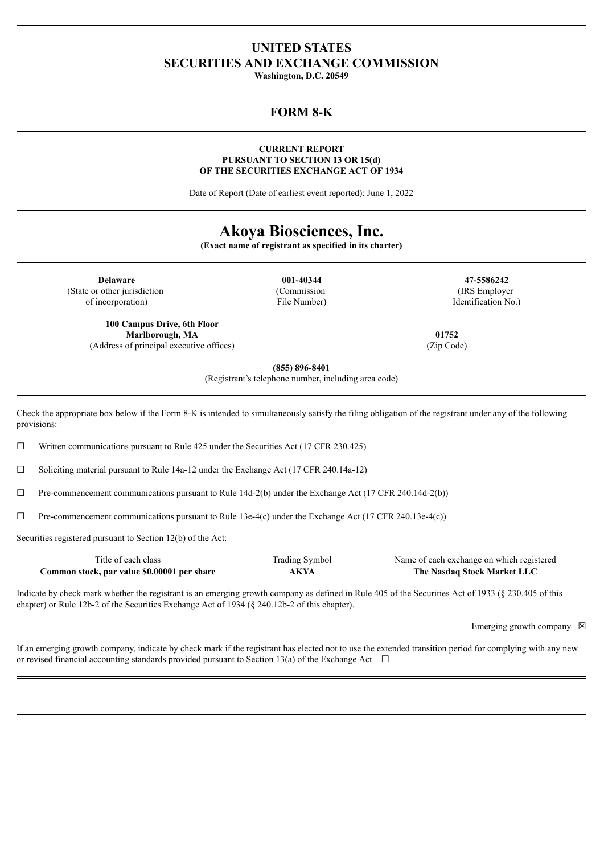# **UNITED STATES SECURITIES AND EXCHANGE COMMISSION**

**Washington, D.C. 20549**

## **FORM 8-K**

#### **CURRENT REPORT PURSUANT TO SECTION 13 OR 15(d) OF THE SECURITIES EXCHANGE ACT OF 1934**

Date of Report (Date of earliest event reported): June 1, 2022

# **Akoya Biosciences, Inc.**

**(Exact name of registrant as specified in its charter)**

**Delaware 001-40344 47-5586242** (State or other jurisdiction of incorporation)

**100 Campus Drive, 6th Floor Marlborough, MA** (Address of principal executive offices) (Commission File Number)

(IRS Employer Identification No.)

**01752** (Zip Code)

**(855) 896-8401**

(Registrant's telephone number, including area code)

Check the appropriate box below if the Form 8-K is intended to simultaneously satisfy the filing obligation of the registrant under any of the following provisions:

 $\Box$  Written communications pursuant to Rule 425 under the Securities Act (17 CFR 230.425)

☐ Soliciting material pursuant to Rule 14a-12 under the Exchange Act (17 CFR 240.14a-12)

 $\Box$  Pre-commencement communications pursuant to Rule 14d-2(b) under the Exchange Act (17 CFR 240.14d-2(b))

 $\Box$  Pre-commencement communications pursuant to Rule 13e-4(c) under the Exchange Act (17 CFR 240.13e-4(c))

Securities registered pursuant to Section 12(b) of the Act:

| Title of each class                         | <b>Trading Symbol</b> | Name of each exchange on which registered |
|---------------------------------------------|-----------------------|-------------------------------------------|
| Common stock, par value \$0.00001 per share | AKYA                  | The Nasdaq Stock Market LLC               |

Indicate by check mark whether the registrant is an emerging growth company as defined in Rule 405 of the Securities Act of 1933 (§ 230.405 of this chapter) or Rule 12b-2 of the Securities Exchange Act of 1934 (§ 240.12b-2 of this chapter).

Emerging growth company  $\boxtimes$ 

If an emerging growth company, indicate by check mark if the registrant has elected not to use the extended transition period for complying with any new or revised financial accounting standards provided pursuant to Section 13(a) of the Exchange Act.  $\Box$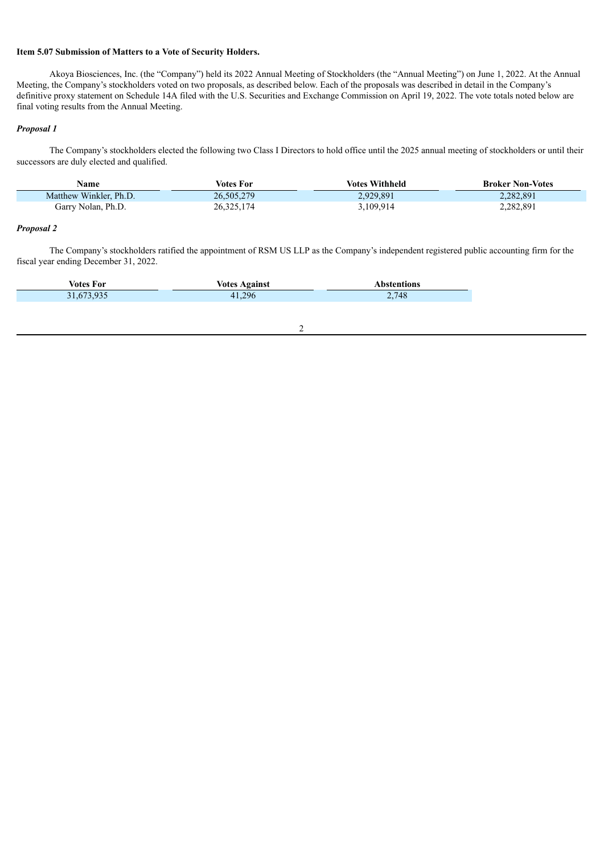#### **Item 5.07 Submission of Matters to a Vote of Security Holders.**

Akoya Biosciences, Inc. (the "Company") held its 2022 Annual Meeting of Stockholders (the "Annual Meeting") on June 1, 2022. At the Annual Meeting, the Company's stockholders voted on two proposals, as described below. Each of the proposals was described in detail in the Company's definitive proxy statement on Schedule 14A filed with the U.S. Securities and Exchange Commission on April 19, 2022. The vote totals noted below are final voting results from the Annual Meeting.

#### *Proposal 1*

The Company's stockholders elected the following two Class I Directors to hold office until the 2025 annual meeting of stockholders or until their successors are duly elected and qualified.

| Name                   | Votes For    | <b>Votes Withheld</b> | <b>Broker Non-Votes</b> |
|------------------------|--------------|-----------------------|-------------------------|
| Matthew Winkler, Ph.D. | 26,505,279   | 2,929,891             | 2,282,891               |
| Garry Nolan, Ph.D.     | 26, 325, 174 | 3,109,914             | 2,282,891               |

#### *Proposal 2*

The Company's stockholders ratified the appointment of RSM US LLP as the Company's independent registered public accounting firm for the fiscal year ending December 31, 2022.

2

| <b>. .</b><br>votes<br>. For | oainst<br>Votos | ons               |
|------------------------------|-----------------|-------------------|
| $\mathbf{r}$                 | 296             | ,748              |
| .                            | $\prime\prime$  | and a contract of |